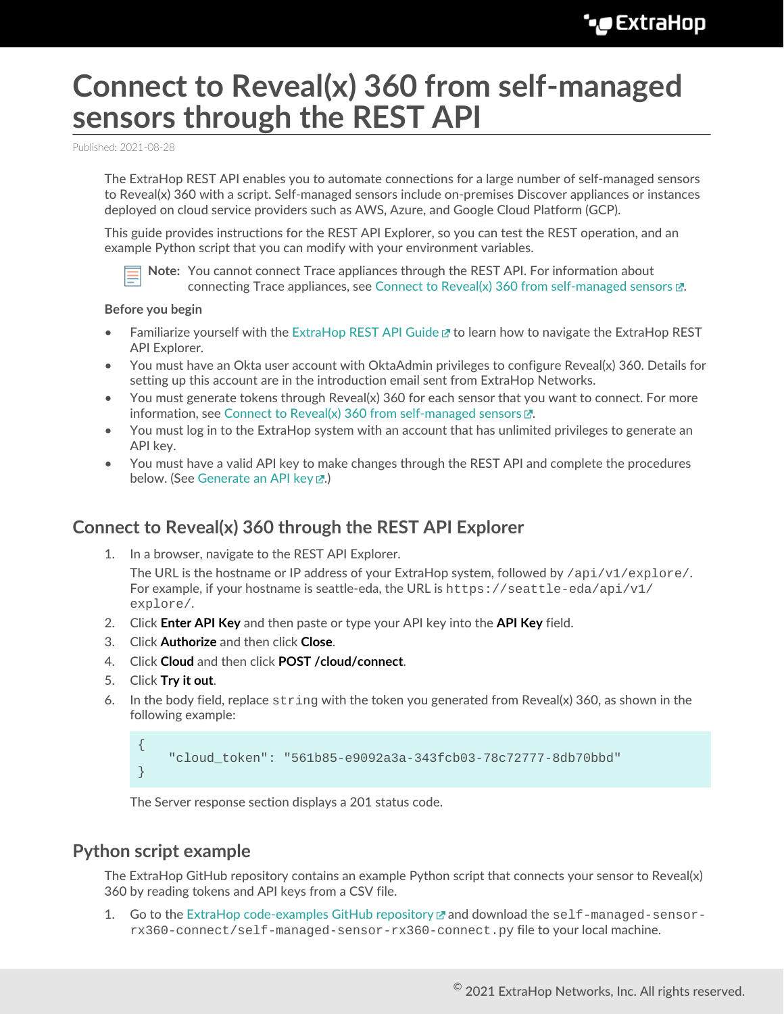## **Connect to Reveal(x) 360 from self-managed sensors through the REST API**

Published: 2021-08-28

The ExtraHop REST API enables you to automate connections for a large number of self-managed sensors to Reveal(x) 360 with a script. Self-managed sensors include on-premises Discover appliances or instances deployed on cloud service providers such as AWS, Azure, and Google Cloud Platform (GCP).

This guide provides instructions for the REST API Explorer, so you can test the REST operation, and an example Python script that you can modify with your environment variables.



**Note:** You cannot connect Trace appliances through the REST API. For information about connecting Trace appliances, see [Connect to Reveal\(x\) 360 from self-managed sensors](https://docs.extrahop.com/8.4/configure-ccp)  $\mathbb{Z}$ .

## **Before you begin**

- Familiarize yourself with the [ExtraHop REST API Guide](https://docs.extrahop.com/8.4/rest-api-guide) Learn ow to navigate the ExtraHop REST API Explorer.
- You must have an Okta user account with OktaAdmin privileges to configure Reveal(x) 360. Details for setting up this account are in the introduction email sent from ExtraHop Networks.
- You must generate tokens through Reveal(x) 360 for each sensor that you want to connect. For more information, see [Connect to Reveal\(x\) 360 from self-managed sensors](https://docs.extrahop.com/8.4/configure-ccp)  $\mathbb{Z}$ .
- You must log in to the ExtraHop system with an account that has unlimited privileges to generate an API key.
- You must have a valid API key to make changes through the REST API and complete the procedures below. (See [Generate an API key](https://docs.extrahop.com/8.4/rest-api-guide/#generate-an-api-key) ...)

## **Connect to Reveal(x) 360 through the REST API Explorer**

1. In a browser, navigate to the REST API Explorer.

The URL is the hostname or IP address of your ExtraHop system, followed by  $\pi$ i/v1/explore/. For example, if your hostname is seattle-eda, the URL is  $h$ thes://seattle-eda/api/v1/ explore/.

- 2. Click **Enter API Key** and then paste or type your API key into the **API Key** field.
- 3. Click **Authorize** and then click **Close**.
- 4. Click **Cloud** and then click **POST /cloud/connect**.
- 5. Click **Try it out**.
- 6. In the body field, replace  $string$  with the token you generated from Reveal(x) 360, as shown in the following example:

```
{
     "cloud_token": "561b85-e9092a3a-343fcb03-78c72777-8db70bbd"
}
```
The Server response section displays a 201 status code.

## **Python script example**

The ExtraHop GitHub repository contains an example Python script that connects your sensor to Reveal(x) 360 by reading tokens and API keys from a CSV file.

1. Go to the [ExtraHop code-examples GitHub repository](https://github.com/ExtraHop/code-examples)  $\mathbb Z$  and download the self-managed-sensorrx360-connect/self-managed-sensor-rx360-connect.py file to your local machine.